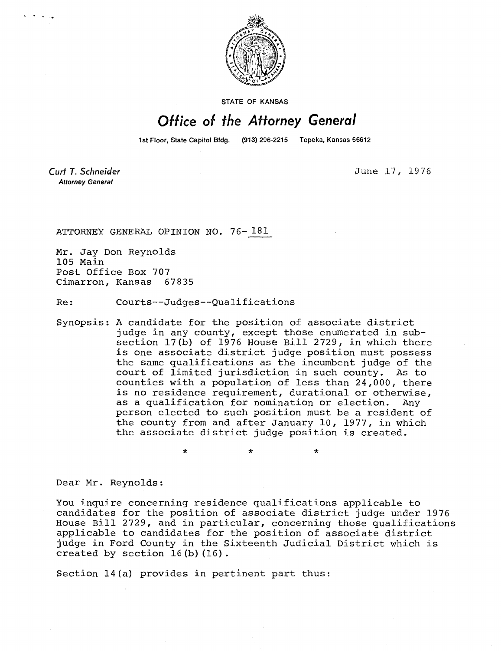

STATE OF KANSAS

## Office of the Attorney General

1st Floor, State Capitol Bldg. (913) 296-2215 Topeka, Kansas 66612

Curt T. Schneider **Attorney General** 

June 17, 1976

ATTORNEY GENERAL OPINION NO. 76-181

Mr. Jay Don Reynolds 105 Main Post Office Box 707 Cimarron, Kansas 67835

Re: Courts--Judges--Qualifications

Synopsis: A candidate for the position of associate district judge in any county, except those enumerated in subsection 17(b) of 1976 House Bill 2729, in which there is one associate district judge position must possess the same qualifications as the incumbent judge of the court of limited jurisdiction in such county. As to counties with a population of less than 24,000, there is no residence requirement, durational or otherwise, as a qualification for nomination or election. Any person elected to such position must be a resident of the county from and after January 10, 1977, in which the associate district judge position is created.

 $\star$ 

 $\ddot{\textbf{r}}$ 

Dear Mr. Reynolds:

You inquire concerning residence qualifications applicable to candidates for the position of associate district judge under 1976 House Bill 2729, and in particular, concerning those qualifications applicable to candidates for the position of associate district judge in Ford County in the Sixteenth Judicial District which is created by section 16(b)(16).

Section 14(a) provides in pertinent part thus:

 $\star$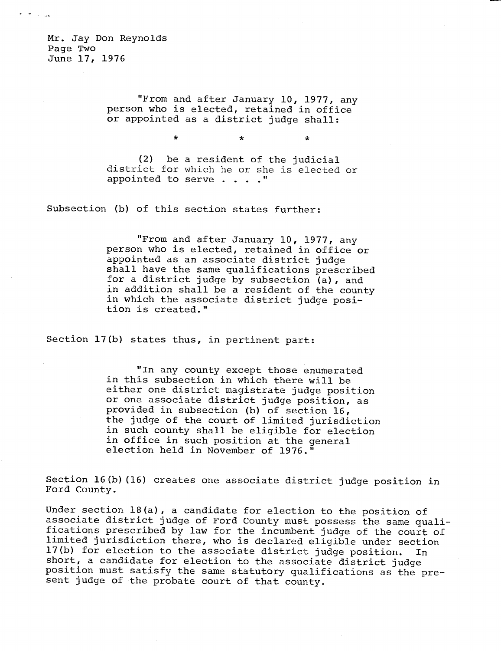Mr. Jay Don Reynolds Page Two June 17, 1976

 $\tau$  ,  $\tau$  ,  $\tau$  , and

"From and after January 10, 1977, any person who is elected, retained in office or appointed as a district judge shall:

\* \*

(2) be a resident of the judicial district for which he or she is elected or appointed to serve . . . ."

Subsection (b) of this section states further:

"From and after January 10, 1977, any person who is elected, retained in office or appointed as an associate district judge shall have the same qualifications prescribed for a district judge by subsection (a), and in addition shall be a resident of the county in which the associate district judge position is created."

Section 17(b) states thus, in pertinent part:

"In any county except those enumerated in this subsection in which there will be either one district magistrate judge position or one associate district judge position, as provided in subsection (b) of section 16, the judge of the court of limited jurisdiction in such county shall be eligible for election in office in such position at the general election held in November of 1976."

Section 16(b)(16) creates one associate district judge position in Ford County.

Under section 18(a), a candidate for election to the position of associate district judge of Ford County must possess the same qualifications prescribed by law for the incumbent judge of the court of limited jurisdiction there, who is declared eligible under section 17(b) for election to the associate district judge position. In short, a candidate for election to the associate district judge position must satisfy the same statutory qualifications as the present judge of the probate court of that county.